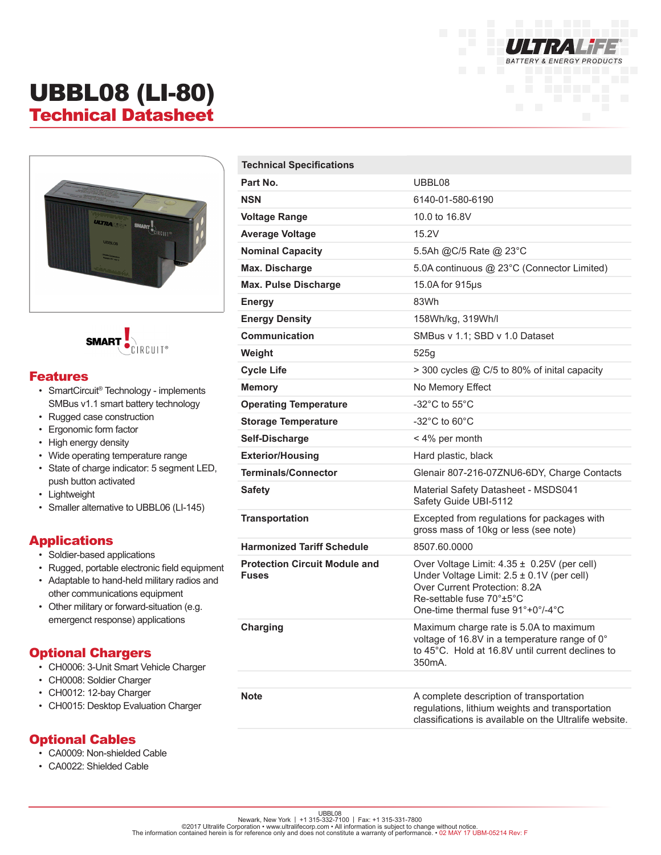

# UBBL08 (LI-80) Technical Datasheet





#### Features

- SmartCircuit® Technology implements SMBus v1.1 smart battery technology
- Rugged case construction
- Ergonomic form factor
- High energy density
- Wide operating temperature range
- State of charge indicator: 5 segment LED, push button activated
- Lightweight
- Smaller alternative to UBBL06 (LI-145)

#### Applications

- Soldier-based applications
- Rugged, portable electronic field equipment
- Adaptable to hand-held military radios and other communications equipment
- Other military or forward-situation (e.g. emergenct response) applications

### Optional Chargers

- CH0006: 3-Unit Smart Vehicle Charger
- CH0008: Soldier Charger
- CH0012: 12-bay Charger
- CH0015: Desktop Evaluation Charger

# Optional Cables

- CA0009: Non-shielded Cable
- CA0022: Shielded Cable

| <b>Technical Specifications</b>                      |                                                                                                                                                                                                     |
|------------------------------------------------------|-----------------------------------------------------------------------------------------------------------------------------------------------------------------------------------------------------|
| Part No.                                             | UBBL08                                                                                                                                                                                              |
| <b>NSN</b>                                           | 6140-01-580-6190                                                                                                                                                                                    |
| <b>Voltage Range</b>                                 | 10.0 to 16.8V                                                                                                                                                                                       |
| <b>Average Voltage</b>                               | 15.2V                                                                                                                                                                                               |
| <b>Nominal Capacity</b>                              | 5.5Ah @C/5 Rate @ 23°C                                                                                                                                                                              |
| Max. Discharge                                       | 5.0A continuous @ 23°C (Connector Limited)                                                                                                                                                          |
| <b>Max. Pulse Discharge</b>                          | 15.0A for 915µs                                                                                                                                                                                     |
| <b>Energy</b>                                        | 83Wh                                                                                                                                                                                                |
| <b>Energy Density</b>                                | 158Wh/kg, 319Wh/l                                                                                                                                                                                   |
| <b>Communication</b>                                 | SMBus v 1.1; SBD v 1.0 Dataset                                                                                                                                                                      |
| Weight                                               | 525g                                                                                                                                                                                                |
| <b>Cycle Life</b>                                    | > 300 cycles @ C/5 to 80% of inital capacity                                                                                                                                                        |
| <b>Memory</b>                                        | No Memory Effect                                                                                                                                                                                    |
| <b>Operating Temperature</b>                         | -32 $^{\circ}$ C to 55 $^{\circ}$ C                                                                                                                                                                 |
| <b>Storage Temperature</b>                           | -32 $^{\circ}$ C to 60 $^{\circ}$ C                                                                                                                                                                 |
| Self-Discharge                                       | < 4% per month                                                                                                                                                                                      |
| <b>Exterior/Housing</b>                              | Hard plastic, black                                                                                                                                                                                 |
| <b>Terminals/Connector</b>                           | Glenair 807-216-07ZNU6-6DY, Charge Contacts                                                                                                                                                         |
| <b>Safety</b>                                        | Material Safety Datasheet - MSDS041<br>Safety Guide UBI-5112                                                                                                                                        |
| <b>Transportation</b>                                | Excepted from regulations for packages with<br>gross mass of 10kg or less (see note)                                                                                                                |
| <b>Harmonized Tariff Schedule</b>                    | 8507.60.0000                                                                                                                                                                                        |
| <b>Protection Circuit Module and</b><br><b>Fuses</b> | Over Voltage Limit: $4.35 \pm 0.25V$ (per cell)<br>Under Voltage Limit: $2.5 \pm 0.1V$ (per cell)<br>Over Current Protection: 8.2A<br>Re-settable fuse 70°±5°C<br>One-time thermal fuse 91°+0°/-4°C |
| Charging                                             | Maximum charge rate is 5.0A to maximum<br>voltage of 16.8V in a temperature range of $0^{\circ}$<br>to 45°C. Hold at 16.8V until current declines to<br>350mA.                                      |
| <b>Note</b>                                          | A complete description of transportation<br>regulations, lithium weights and transportation<br>classifications is available on the Ultralife website.                                               |